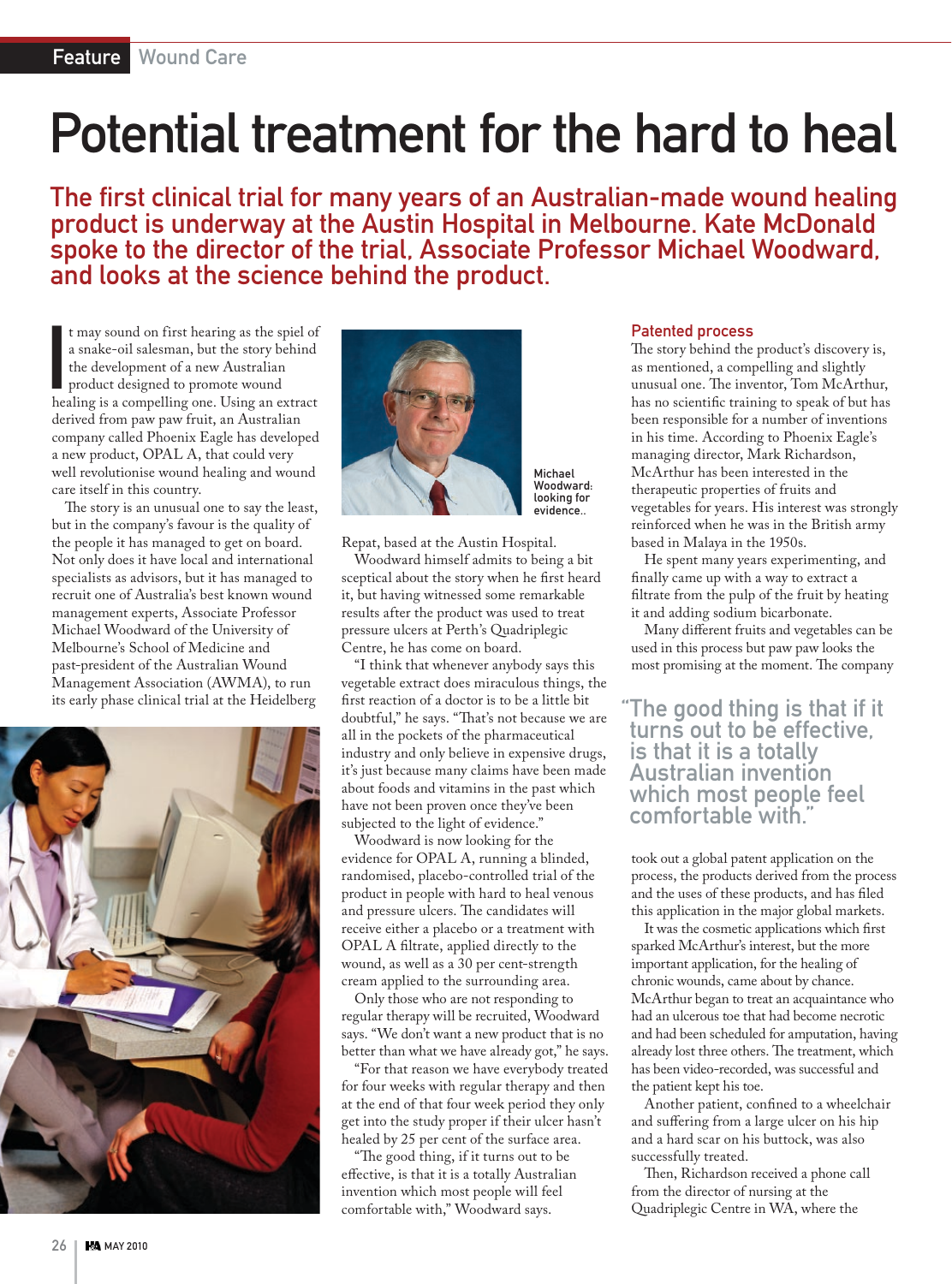## Potential treatment for the hard to heal

The first clinical trial for many years of an Australian-made wound healing product is underway at the Austin Hospital in Melbourne. Kate McDonald spoke to the director of the trial, Associate Professor Michael Woodward, and looks at the science behind the product.

It may sound on first hearing as the spiel of<br>a snake-oil salesman, but the story behind<br>the development of a new Australian<br>product designed to promote wound<br>healing is a compelling one. Using an extract t may sound on first hearing as the spiel of a snake-oil salesman, but the story behind the development of a new Australian product designed to promote wound derived from paw paw fruit, an Australian company called Phoenix Eagle has developed a new product, OPAL A, that could very well revolutionise wound healing and wound care itself in this country.

The story is an unusual one to say the least, but in the company's favour is the quality of the people it has managed to get on board. Not only does it have local and international specialists as advisors, but it has managed to recruit one of Australia's best known wound management experts, Associate Professor Michael Woodward of the University of Melbourne's School of Medicine and past-president of the Australian Wound Management Association (AWMA), to run its early phase clinical trial at the Heidelberg





Michael Woodward: looking for evidence..

Repat, based at the Austin Hospital.

Woodward himself admits to being a bit sceptical about the story when he first heard it, but having witnessed some remarkable results after the product was used to treat pressure ulcers at Perth's Quadriplegic Centre, he has come on board.

"I think that whenever anybody says this vegetable extract does miraculous things, the first reaction of a doctor is to be a little bit doubtful," he says. "That's not because we are all in the pockets of the pharmaceutical industry and only believe in expensive drugs, it's just because many claims have been made about foods and vitamins in the past which have not been proven once they've been subjected to the light of evidence."

Woodward is now looking for the evidence for OPAL A, running a blinded, randomised, placebo-controlled trial of the product in people with hard to heal venous and pressure ulcers. The candidates will receive either a placebo or a treatment with OPAL A filtrate, applied directly to the wound, as well as a 30 per cent-strength cream applied to the surrounding area.

Only those who are not responding to regular therapy will be recruited, Woodward says. "We don't want a new product that is no better than what we have already got," he says.

"For that reason we have everybody treated for four weeks with regular therapy and then at the end of that four week period they only get into the study proper if their ulcer hasn't healed by 25 per cent of the surface area.

"The good thing, if it turns out to be effective, is that it is a totally Australian invention which most people will feel comfortable with," Woodward says.

## Patented process

The story behind the product's discovery is, as mentioned, a compelling and slightly unusual one. The inventor, Tom McArthur, has no scientific training to speak of but has been responsible for a number of inventions in his time. According to Phoenix Eagle's managing director, Mark Richardson, McArthur has been interested in the therapeutic properties of fruits and vegetables for years. His interest was strongly reinforced when he was in the British army based in Malaya in the 1950s.

He spent many years experimenting, and finally came up with a way to extract a filtrate from the pulp of the fruit by heating it and adding sodium bicarbonate.

Many different fruits and vegetables can be used in this process but paw paw looks the most promising at the moment. The company

## "The good thing is that if it turns out to be effective, is that it is a totally Australian invention which most people feel comfortable with."

took out a global patent application on the process, the products derived from the process and the uses of these products, and has filed this application in the major global markets.

It was the cosmetic applications which first sparked McArthur's interest, but the more important application, for the healing of chronic wounds, came about by chance. McArthur began to treat an acquaintance who had an ulcerous toe that had become necrotic and had been scheduled for amputation, having already lost three others. The treatment, which has been video-recorded, was successful and the patient kept his toe.

Another patient, confined to a wheelchair and suffering from a large ulcer on his hip and a hard scar on his buttock, was also successfully treated.

Then, Richardson received a phone call from the director of nursing at the Quadriplegic Centre in WA, where the